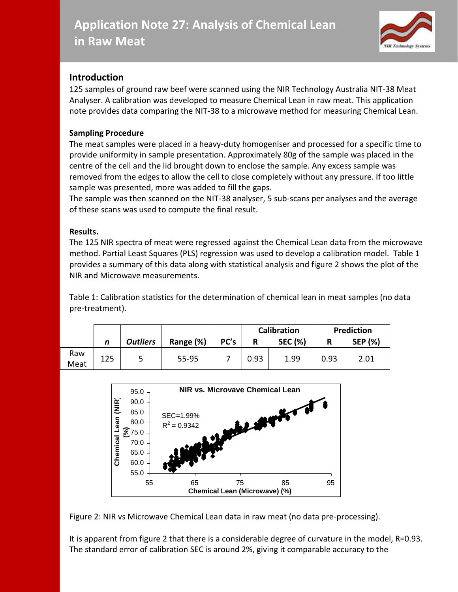

## **Introduction**

125 samples of ground raw beef were scanned using the NIR Technology Australia NIT-38 Meat Analyser. A calibration was developed to measure Chemical Lean in raw meat. This application note provides data comparing the NIT-38 to a microwave method for measuring Chemical Lean.

## **Sampling Procedure**

The meat samples were placed in a heavy-duty homogeniser and processed for a specific time to provide uniformity in sample presentation. Approximately 80g of the sample was placed in the centre of the cell and the lid brought down to enclose the sample. Any excess sample was removed from the edges to allow the cell to close completely without any pressure. If too little sample was presented, more was added to fill the gaps.

The sample was then scanned on the NIT-38 analyser, 5 sub-scans per analyses and the average of these scans was used to compute the final result.

## **Results.**

The 125 NIR spectra of meat were regressed against the Chemical Lean data from the microwave method. Partial Least Squares (PLS) regression was used to develop a calibration model. Table 1 provides a summary of this data along with statistical analysis and figure 2 shows the plot of the NIR and Microwave measurements.

Table 1: Calibration statistics for the determination of chemical lean in meat samples (no data pre-treatment).

|             |     |                 |           |      | <b>Calibration</b> |                | Prediction |                |
|-------------|-----|-----------------|-----------|------|--------------------|----------------|------------|----------------|
|             | n   | <b>Outliers</b> | Range (%) | PC's | R                  | <b>SEC (%)</b> |            | <b>SEP (%)</b> |
| Raw<br>Meat | 125 |                 | 55-95     |      | 0.93               | 1.99           | 0.93       | 2.01           |





It is apparent from figure 2 that there is a considerable degree of curvature in the model, R=0.93. The standard error of calibration SEC is around 2%, giving it comparable accuracy to the